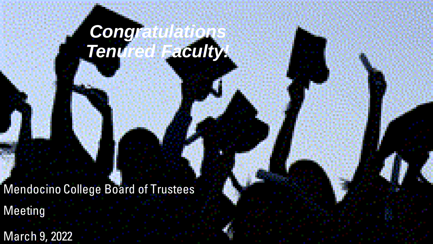# *Congratulations Tenured Faculty!*

Mendocino College Board of Trustees

Meeting

March 9, 2022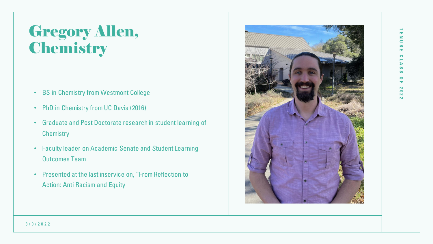### Gregory Allen, **Chemistry**

- BS in Chemistry from Westmont College
- PhD in Chemistry from UC Davis (2016)
- Graduate and Post Doctorate research in student learning of **Chemistry**
- Faculty leader on Academic Senate and Student Learning Outcomes Team
- Presented at the last inservice on, "From Reflection to Action: Anti Racism and Equity



#### 3 / 9 / 2 0 2 2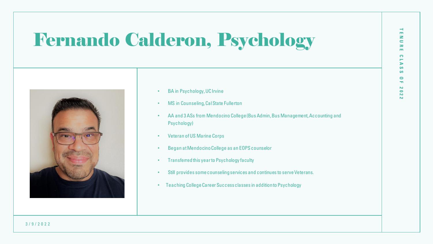# Fernando Calderon, Psychology



- BA in Psychology, UC Irvine
- MS in Counseling, Cal State Fullerton
- AA and 3 ASs from Mendocino College (Bus Admin, Bus Management, Accounting and Psychology)
- Veteran of US Marine Corps
- Began at Mendocino College as an EOPS counselor
- Transferred this year to Psychology faculty
- Still provides some counseling services and continues to serve Veterans.
- Teaching College Career Success classes in addition to Psychology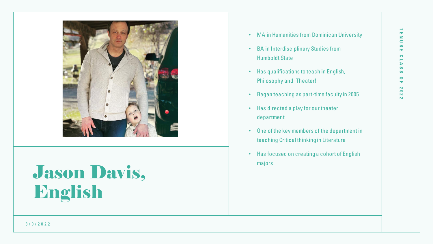

## Jason Davis, English

- MA in Humanities from Dominican University
- BA in Interdisciplinary Studies from Humboldt State
- Has qualifications to teach in English, Philosophy and Theater!
- Began teaching as part-time faculty in 2005
- Has directed a play for our theater department
- One of the key members of the department in teaching Critical thinking in Literature
- Has focused on creating a cohort of English majors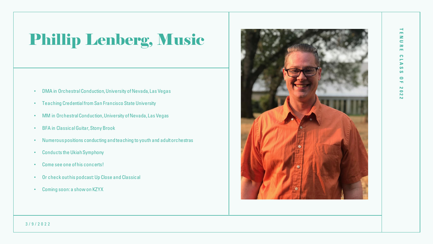## Phillip Lenberg, Music

- DMA in Orchestral Conduction, University of Nevada, Las Vegas
- Teaching Credential from San Francisco State University
- MM in Orchestral Conduction, University of Nevada, Las Vegas
- BFA in Classical Guitar, Stony Brook
- Numerous positions conducting and teaching to youth and adult orchestras
- Conducts the Ukiah Symphony
- Come see one of his concerts!
- Or check out his podcast: Up Close and Classical
- Coming soon: a show on KZYX



#### 3 / 9 / 2 0 2 2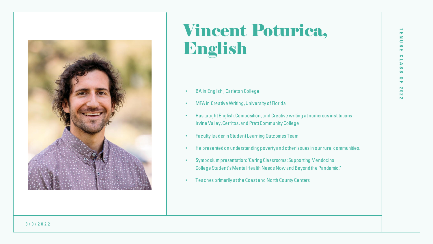

### Vincent Poturica, English

- BA in English , Carleton College
- MFA in Creative Writing, University of Florida
- Has taught English, Composition, and Creative writing at numerous institutions— Irvine Valley, Cerritos, and Pratt Community College
- Faculty leader in Student Learning Outcomes Team
- He presented on understanding poverty and other issues in our rural communities.
- Symposium presentation: "CaringClassrooms: Supporting Mendocino College Student'sMentalHealth Needs Now and Beyond the Pandemic."
- Teaches primarily at the Coast and North County Centers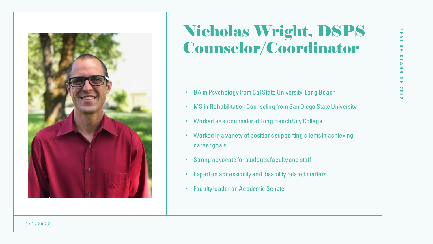

#### Nicholas Wright, DSPS Counselor/Coordinator

- BA in Psychology from Cal State University, Long Beach
- MS in Rehabilitation Counseling from San Diego State University
- Worked as a counselor at Long Beach City College
- Worked in a variety of positions supporting clients in achieving career goals
- Strong advocate for students, faculty and staff
- Expert on accessibility and disability related matters
- Faculty leader on Academic Senate